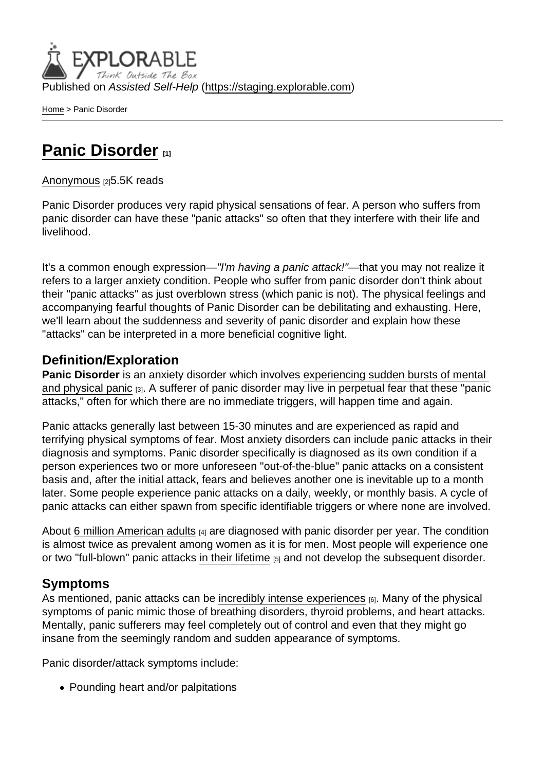Published on Assisted Self-Help [\(https://staging.explorable.com](https://staging.explorable.com))

[Home](https://staging.explorable.com/en) > Panic Disorder

# [Panic Disorder](https://staging.explorable.com/en/e/panic-disorder) [1]

#### [Anonymous](https://staging.explorable.com/en/users/grharriman) [2]5.5K reads

Panic Disorder produces very rapid physical sensations of fear. A person who suffers from panic disorder can have these "panic attacks" so often that they interfere with their life and livelihood.

It's a common enough expression—"I'm having a panic attack!"—that you may not realize it refers to a larger anxiety condition. People who suffer from panic disorder don't think about their "panic attacks" as just overblown stress (which panic is not). The physical feelings and accompanying fearful thoughts of Panic Disorder can be debilitating and exhausting. Here, we'll learn about the suddenness and severity of panic disorder and explain how these "attacks" can be interpreted in a more beneficial cognitive light.

### Definition/Exploration

Panic Disorder is an anxiety disorder which involves [experiencing sudden bursts of mental](http://www.nytimes.com/health/guides/disease/generalized-anxiety-disorder/print.html)  [and physical panic](http://www.nytimes.com/health/guides/disease/generalized-anxiety-disorder/print.html) [3]. A sufferer of panic disorder may live in perpetual fear that these "panic attacks," often for which there are no immediate triggers, will happen time and again.

Panic attacks generally last between 15-30 minutes and are experienced as rapid and terrifying physical symptoms of fear. Most anxiety disorders can include panic attacks in their diagnosis and symptoms. Panic disorder specifically is diagnosed as its own condition if a person experiences two or more unforeseen "out-of-the-blue" panic attacks on a consistent basis and, after the initial attack, fears and believes another one is inevitable up to a month later. Some people experience panic attacks on a daily, weekly, or monthly basis. A cycle of panic attacks can either spawn from specific identifiable triggers or where none are involved.

About [6 million American adults](http://www.adaa.org/understanding-anxiety/panic-disorder-agoraphobia) [4] are diagnosed with panic disorder per year. The condition is almost twice as prevalent among women as it is for men. Most people will experience one or two "full-blown" panic attacks [in their lifetime](http://www.mayoclinic.org/diseases-conditions/panic-attacks/basics/definition/con-20020825) [5] and not develop the subsequent disorder.

#### Symptoms

As mentioned, panic attacks can be [incredibly intense experiences](http://www.adaa.org/understanding-anxiety/panic-disorder-agoraphobia/symptoms)  $[6]$ . Many of the physical symptoms of panic mimic those of breathing disorders, thyroid problems, and heart attacks. Mentally, panic sufferers may feel completely out of control and even that they might go insane from the seemingly random and sudden appearance of symptoms.

Panic disorder/attack symptoms include:

• Pounding heart and/or palpitations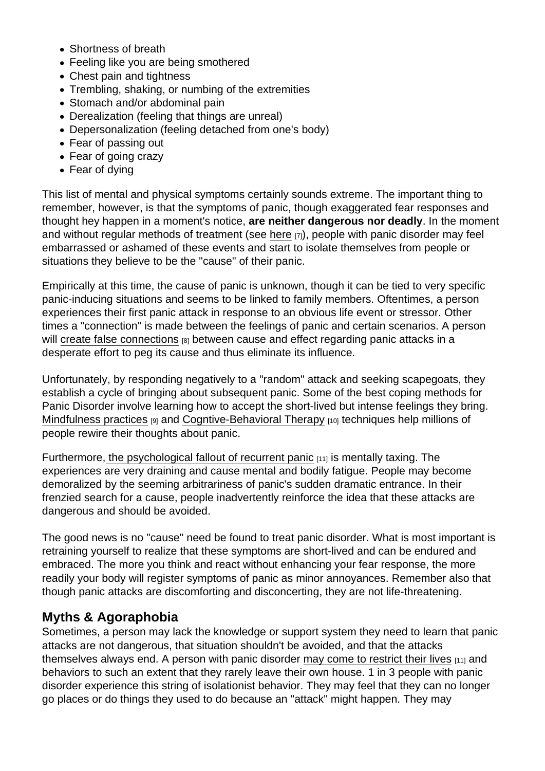- Shortness of breath
- Feeling like you are being smothered
- Chest pain and tightness
- Trembling, shaking, or numbing of the extremities
- Stomach and/or abdominal pain
- Derealization (feeling that things are unreal)
- Depersonalization (feeling detached from one's body)
- Fear of passing out
- Fear of going crazy
- Fear of dying

This list of mental and physical symptoms certainly sounds extreme. The important thing to remember, however, is that the symptoms of panic, though exaggerated fear responses and thought hey happen in a moment's notice, are neither dangerous nor deadly . In the moment and without regular methods of treatment (see [here](https://explorable.com/psychotherapy) [7]), people with panic disorder may feel embarrassed or ashamed of these events and start to isolate themselves from people or situations they believe to be the "cause" of their panic.

Empirically at this time, the cause of panic is unknown, though it can be tied to very specific panic-inducing situations and seems to be linked to family members. Oftentimes, a person experiences their first panic attack in response to an obvious life event or stressor. Other times a "connection" is made between the feelings of panic and certain scenarios. A person will [create false connections](http://www.apa.org/topics/anxiety/panic-disorder.aspx)  $B$  between cause and effect regarding panic attacks in a desperate effort to peg its cause and thus eliminate its influence.

Unfortunately, by responding negatively to a "random" attack and seeking scapegoats, they establish a cycle of bringing about subsequent panic. Some of the best coping methods for Panic Disorder involve learning how to accept the short-lived but intense feelings they bring. [Mindfulness practices](https://explorable.com/mindfulness-breathing-exercise) [9] and [Cogntive-Behavioral Therapy](https://explorable.com/cognitive-behavioral-therapy-cbt) [10] techniques help millions of people rewire their thoughts about panic.

Furthermore[, the psychological fallout of recurrent panic](http://www.nimh.nih.gov/health/topics/panic-disorder/index.shtml)  $[11]$  is mentally taxing. The experiences are very draining and cause mental and bodily fatigue. People may become demoralized by the seeming arbitrariness of panic's sudden dramatic entrance. In their frenzied search for a cause, people inadvertently reinforce the idea that these attacks are dangerous and should be avoided.

The good news is no "cause" need be found to treat panic disorder. What is most important is retraining yourself to realize that these symptoms are short-lived and can be endured and embraced. The more you think and react without enhancing your fear response, the more readily your body will register symptoms of panic as minor annoyances. Remember also that though panic attacks are discomforting and disconcerting, they are not life-threatening.

## Myths & Agoraphobia

Sometimes, a person may lack the knowledge or support system they need to learn that panic attacks are not dangerous, that situation shouldn't be avoided, and that the attacks themselves always end. A person with panic disorder [may come to restrict their lives](http://www.nimh.nih.gov/health/topics/panic-disorder/index.shtml)  $[11]$  and behaviors to such an extent that they rarely leave their own house. 1 in 3 people with panic disorder experience this string of isolationist behavior. They may feel that they can no longer go places or do things they used to do because an "attack" might happen. They may